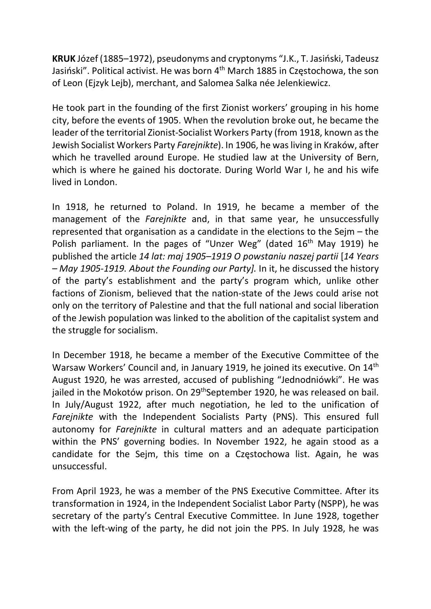KRUK Józef (1885–1972), pseudonyms and cryptonyms "J.K., T. Jasiński, Tadeusz Jasiński". Political activist. He was born 4th March 1885 in Częstochowa, the son of Leon (Ejzyk Lejb), merchant, and Salomea Salka née Jelenkiewicz.

He took part in the founding of the first Zionist workers' grouping in his home city, before the events of 1905. When the revolution broke out, he became the leader of the territorial Zionist-Socialist Workers Party (from 1918, known as the Jewish Socialist Workers Party Farejnikte). In 1906, he was living in Kraków, after which he travelled around Europe. He studied law at the University of Bern, which is where he gained his doctorate. During World War I, he and his wife lived in London.

In 1918, he returned to Poland. In 1919, he became a member of the management of the Farejnikte and, in that same year, he unsuccessfully represented that organisation as a candidate in the elections to the Sejm – the Polish parliament. In the pages of "Unzer Weg" (dated  $16<sup>th</sup>$  May 1919) he published the article 14 lat: maj 1905–1919 O powstaniu naszej partii [14 Years – May 1905-1919. About the Founding our Party]. In it, he discussed the history of the party's establishment and the party's program which, unlike other factions of Zionism, believed that the nation-state of the Jews could arise not only on the territory of Palestine and that the full national and social liberation of the Jewish population was linked to the abolition of the capitalist system and the struggle for socialism.

In December 1918, he became a member of the Executive Committee of the Warsaw Workers' Council and, in January 1919, he joined its executive. On 14th August 1920, he was arrested, accused of publishing "Jednodniówki". He was jailed in the Mokotów prison. On 29<sup>th</sup>September 1920, he was released on bail. In July/August 1922, after much negotiation, he led to the unification of Farejnikte with the Independent Socialists Party (PNS). This ensured full autonomy for Farejnikte in cultural matters and an adequate participation within the PNS' governing bodies. In November 1922, he again stood as a candidate for the Sejm, this time on a Częstochowa list. Again, he was unsuccessful.

From April 1923, he was a member of the PNS Executive Committee. After its transformation in 1924, in the Independent Socialist Labor Party (NSPP), he was secretary of the party's Central Executive Committee. In June 1928, together with the left-wing of the party, he did not join the PPS. In July 1928, he was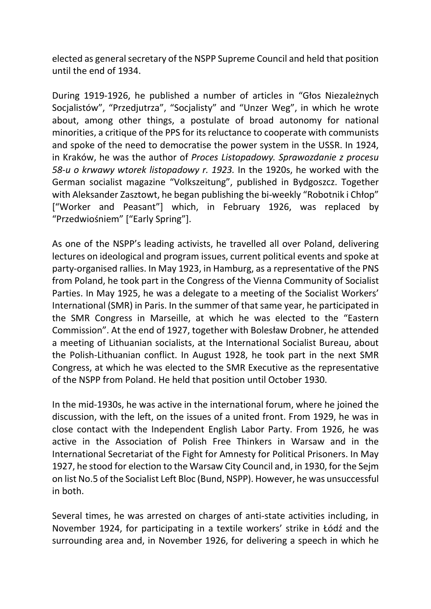elected as general secretary of the NSPP Supreme Council and held that position until the end of 1934.

During 1919-1926, he published a number of articles in "Głos Niezależnych Socjalistów", "Przedjutrza", "Socjalisty" and "Unzer Weg", in which he wrote about, among other things, a postulate of broad autonomy for national minorities, a critique of the PPS for its reluctance to cooperate with communists and spoke of the need to democratise the power system in the USSR. In 1924, in Kraków, he was the author of Proces Listopadowy. Sprawozdanie z procesu 58-u o krwawy wtorek listopadowy r. 1923. In the 1920s, he worked with the German socialist magazine "Volkszeitung", published in Bydgoszcz. Together with Aleksander Zasztowt, he began publishing the bi-weekly "Robotnik i Chłop" ["Worker and Peasant"] which, in February 1926, was replaced by "Przedwiośniem" ["Early Spring"].

As one of the NSPP's leading activists, he travelled all over Poland, delivering lectures on ideological and program issues, current political events and spoke at party-organised rallies. In May 1923, in Hamburg, as a representative of the PNS from Poland, he took part in the Congress of the Vienna Community of Socialist Parties. In May 1925, he was a delegate to a meeting of the Socialist Workers' International (SMR) in Paris. In the summer of that same year, he participated in the SMR Congress in Marseille, at which he was elected to the "Eastern Commission". At the end of 1927, together with Bolesław Drobner, he attended a meeting of Lithuanian socialists, at the International Socialist Bureau, about the Polish-Lithuanian conflict. In August 1928, he took part in the next SMR Congress, at which he was elected to the SMR Executive as the representative of the NSPP from Poland. He held that position until October 1930.

In the mid-1930s, he was active in the international forum, where he joined the discussion, with the left, on the issues of a united front. From 1929, he was in close contact with the Independent English Labor Party. From 1926, he was active in the Association of Polish Free Thinkers in Warsaw and in the International Secretariat of the Fight for Amnesty for Political Prisoners. In May 1927, he stood for election to the Warsaw City Council and, in 1930, for the Sejm on list No.5 of the Socialist Left Bloc (Bund, NSPP). However, he was unsuccessful in both.

Several times, he was arrested on charges of anti-state activities including, in November 1924, for participating in a textile workers' strike in Łódź and the surrounding area and, in November 1926, for delivering a speech in which he